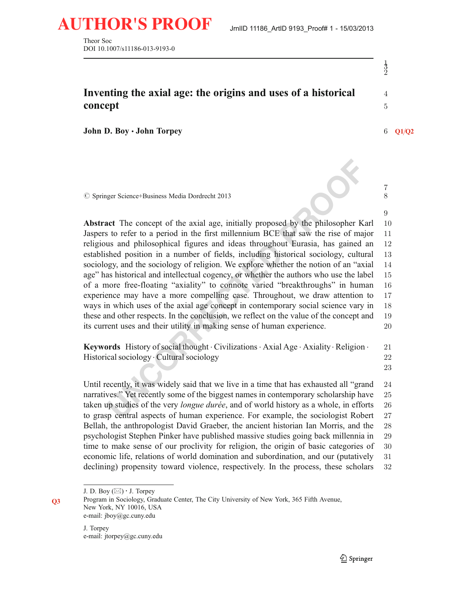Theor Soc DOI 10.1007/s11186-013-9193-0

 $\frac{1}{2}$  $\frac{3}{2}$ 

 $\frac{7}{8}$ 

9

### Inventing the axial age: the origins and uses of a historical  $44$  $\mathbf{concept}$   $\qquad \qquad \text{5}$

**John D. Boy**  $\cdot$  **John Torpey 6 Q1/Q2** 

 $© Springer Science+Business Media Dordrecht 2013$ 

ger Science+Business Media Dordrecht 2013<br>
and the concept of the axial age, initially proposed by the philosopher Ks<br>
to refer to a period in the first millennium BCE that saw the rise of maj<br>
us and philosophical figures Abstract The concept of the axial age, initially proposed by the philosopher Karl 10 Jaspers to refer to a period in the first millennium BCE that saw the rise of major 11 religious and philosophical figures and ideas throughout Eurasia, has gained an 12 established position in a number of fields, including historical sociology, cultural 13 sociology, and the sociology of religion. We explore whether the notion of an "axial 14 age" has historical and intellectual cogency, or whether the authors who use the label 15 of a more free-floating "axiality" to connote varied "breakthroughs" in human 16 experience may have a more compelling case. Throughout, we draw attention to 17 ways in which uses of the axial age concept in contemporary social science vary in 18 these and other respects. In the conclusion, we reflect on the value of the concept and 19 its current uses and their utility in making sense of human experience. 20

**Keywords** History of social thought  $\cdot$  Civilizations  $\cdot$  Axial Age  $\cdot$  Axiality  $\cdot$  Religion  $\cdot$  21 Historical sociology · Cultural sociology 22

23

Until recently, it was widely said that we live in a time that has exhausted all "grand 24 narratives." Yet recently some of the biggest names in contemporary scholarship have 25 taken up studies of the very *longue durée*, and of world history as a whole, in efforts 26 to grasp central aspects of human experience. For example, the sociologist Robert 27 Bellah, the anthropologist David Graeber, the ancient historian Ian Morris, and the 28 psychologist Stephen Pinker have published massive studies going back millennia in 29 time to make sense of our proclivity for religion, the origin of basic categories of 30 economic life, relations of world domination and subordination, and our (putatively 31 declining) propensity toward violence, respectively. In the process, these scholars 32

Q3 Program in Sociology, Graduate Center, The City University of New York, 365 Fifth Avenue, New York, NY 10016, USA e-mail: jboy@gc.cuny.edu

> J. Torpey e-mail: jtorpey@gc.cuny.edu

J. D. Boy  $(\boxtimes) \cdot$  J. Torpey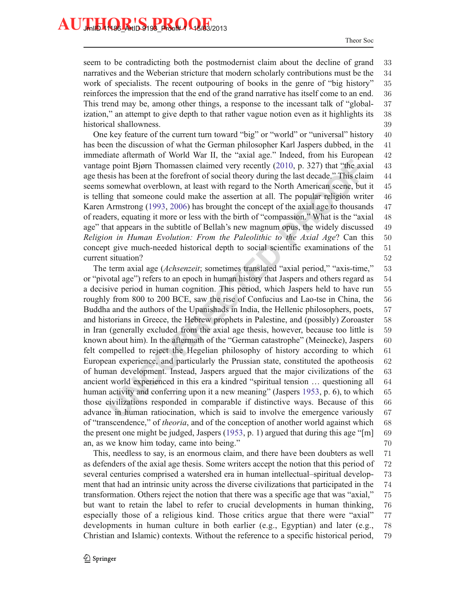seem to be contradicting both the postmodernist claim about the decline of grand 33 narratives and the Weberian stricture that modern scholarly contributions must be the 34 work of specialists. The recent outpouring of books in the genre of "big history" 35 reinforces the impression that the end of the grand narrative has itself come to an end. 36 This trend may be, among other things, a response to the incessant talk of "global- 37 ization," an attempt to give depth to that rather vague notion even as it highlights its 38 historical shallowness. 39

One key feature of the current turn toward "big" or "world" or "universal" history 40 has been the discussion of what the German philosopher Karl Jaspers dubbed, in the 41 immediate aftermath of World War II, the "axial age." Indeed, from his European 42 vantage point Bjørn Thomassen claimed very recently (2010, p. 327) that "the axial 43 age thesis has been at the forefront of social theory during the last decade." This claim 44 seems somewhat overblown, at least with regard to the North American scene, but it 45 is telling that someone could make the assertion at all. The popular religion writer 46 Karen Armstrong (1993, 2006) has brought the concept of the axial age to thousands 47 of readers, equating it more or less with the birth of "compassion." What is the "axial 48 age" that appears in the subtitle of Bellah's new magnum opus, the widely discussed 49 Religion in Human Evolution: From the Paleolithic to the Axial Age? Can this 50 concept give much-needed historical depth to social scientific examinations of the 51 current situation? 52

e point Bjørn Thomassen claimed very recently (2010, p. 327) that "the axis<br>is has been at the forefront of social theory during the last decade." This claims<br>somewhat overblown, at least with regard to the North American The term axial age *(Achsenzeit*; sometimes translated "axial period," "axis-time," 53 or "pivotal age") refers to an epoch in human history that Jaspers and others regard as 54 a decisive period in human cognition. This period, which Jaspers held to have run 55 roughly from 800 to 200 BCE, saw the rise of Confucius and Lao-tse in China, the 56 Buddha and the authors of the Upanishads in India, the Hellenic philosophers, poets, 57 and historians in Greece, the Hebrew prophets in Palestine, and (possibly) Zoroaster 58 in Iran (generally excluded from the axial age thesis, however, because too little is 59 known about him). In the aftermath of the "German catastrophe" (Meinecke), Jaspers 60 felt compelled to reject the Hegelian philosophy of history according to which 61 European experience, and particularly the Prussian state, constituted the apotheosis 62 of human development. Instead, Jaspers argued that the major civilizations of the 63 ancient world experienced in this era a kindred "spiritual tension … questioning all 64 human activity and conferring upon it a new meaning" (Jaspers 1953, p. 6), to which 65 those civilizations responded in comparable if distinctive ways. Because of this 66 advance in human ratiocination, which is said to involve the emergence variously 67 of "transcendence," of *theoria*, and of the conception of another world against which 68 the present one might be judged, Jaspers (1953, p. 1) argued that during this age "[m] 69 an, as we know him today, came into being." The matter of the state of  $70$ 

This, needless to say, is an enormous claim, and there have been doubters as well 71 as defenders of the axial age thesis. Some writers accept the notion that this period of 72 several centuries comprised a watershed era in human intellectual–spiritual develop- 73 ment that had an intrinsic unity across the diverse civilizations that participated in the 74 transformation. Others reject the notion that there was a specific age that was "axial," 75 but want to retain the label to refer to crucial developments in human thinking, 76 especially those of a religious kind. Those critics argue that there were "axial" 77 developments in human culture in both earlier (e.g., Egyptian) and later (e.g., 78 Christian and Islamic) contexts. Without the reference to a specific historical period, 79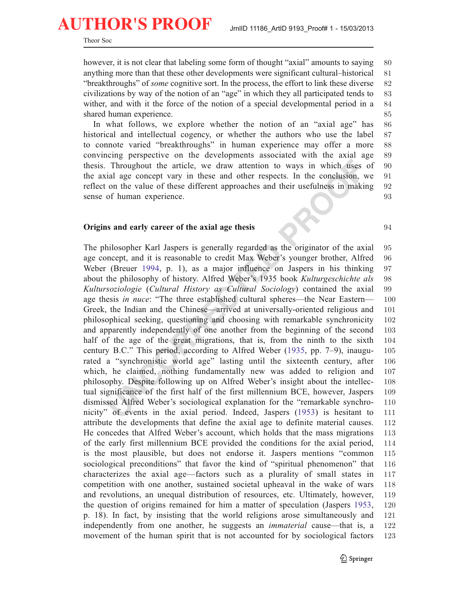Theor Soc

however, it is not clear that labeling some form of thought "axial" amounts to saying 80 anything more than that these other developments were significant cultural–historical 81 "breakthroughs" of *some* cognitive sort. In the process, the effort to link these diverse 82 civilizations by way of the notion of an "age" in which they all participated tends to 83 wither, and with it the force of the notion of a special developmental period in a 84 shared human experience. 85

In what follows, we explore whether the notion of an "axial age" has 86 historical and intellectual cogency, or whether the authors who use the label 87 to connote varied "breakthroughs" in human experience may offer a more 88 convincing perspective on the developments associated with the axial age 89 thesis. Throughout the article, we draw attention to ways in which uses of 90 the axial age concept vary in these and other respects. In the conclusion, we 91 reflect on the value of these different approaches and their usefulness in making 92 sense of human experience. 93

### Origins and early career of the axial age thesis 94

Throughout the article, we draw attention to ways in which uses<br>ial age concept vary in these and other respects. In the conclusion, v<br>on the value of these different approaches and their usefulness in makin<br>of human expe The philosopher Karl Jaspers is generally regarded as the originator of the axial 95 age concept, and it is reasonable to credit Max Weber's younger brother, Alfred 96 Weber (Breuer 1994, p. 1), as a major influence on Jaspers in his thinking 97 about the philosophy of history. Alfred Weber's 1935 book Kulturgeschichte als 98 Kultursoziologie (Cultural History as Cultural Sociology) contained the axial 99 age thesis in nuce: "The three established cultural spheres—the Near Eastern— 100 Greek, the Indian and the Chinese—arrived at universally-oriented religious and 101 philosophical seeking, questioning and choosing with remarkable synchronicity 102 and apparently independently of one another from the beginning of the second 103 half of the age of the great migrations, that is, from the ninth to the sixth 104 century B.C." This period, according to Alfred Weber (1935, pp. 7–9), inaugu- 105 rated a "synchronistic world age" lasting until the sixteenth century, after 106 which, he claimed, nothing fundamentally new was added to religion and 107 philosophy. Despite following up on Alfred Weber's insight about the intellec- 108 tual significance of the first half of the first millennium BCE, however, Jaspers 109 dismissed Alfred Weber's sociological explanation for the "remarkable synchro- 110 nicity" of events in the axial period. Indeed, Jaspers (1953) is hesitant to 111 attribute the developments that define the axial age to definite material causes. 112 He concedes that Alfred Weber's account, which holds that the mass migrations 113 of the early first millennium BCE provided the conditions for the axial period, 114 is the most plausible, but does not endorse it. Jaspers mentions "common 115 sociological preconditions" that favor the kind of "spiritual phenomenon" that 116 characterizes the axial age—factors such as a plurality of small states in 117 competition with one another, sustained societal upheaval in the wake of wars 118 and revolutions, an unequal distribution of resources, etc. Ultimately, however, 119 the question of origins remained for him a matter of speculation (Jaspers 1953, 120 p. 18). In fact, by insisting that the world religions arose simultaneously and 121 independently from one another, he suggests an *immaterial* cause—that is, a 122 movement of the human spirit that is not accounted for by sociological factors 123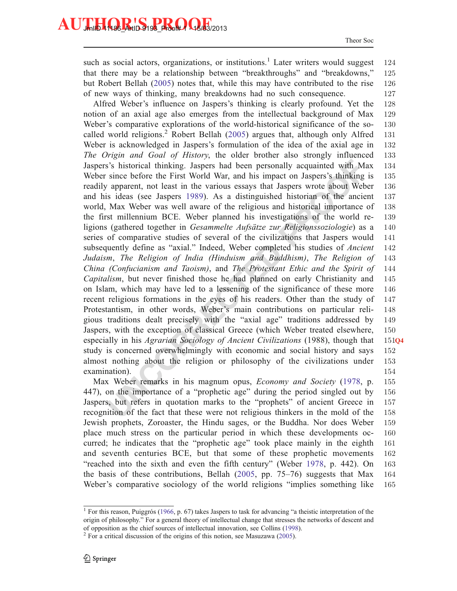such as social actors, organizations, or institutions.<sup>1</sup> Later writers would suggest  $124$ that there may be a relationship between "breakthroughs" and "breakdowns," 125 but Robert Bellah (2005) notes that, while this may have contributed to the rise 126 of new ways of thinking, many breakdowns had no such consequence. 127

s's historical thinking. Jaspers had been personally acquainted with Ms since before the First World War, and his impact on Jaspers's thinking appacent, not least in the various essays that Jaspers storte about Web since i Alfred Weber's influence on Jaspers's thinking is clearly profound. Yet the 128 notion of an axial age also emerges from the intellectual background of Max 129 Weber's comparative explorations of the world-historical significance of the so- 130 called world religions.<sup>2</sup> Robert Bellah (2005) argues that, although only Alfred 131 Weber is acknowledged in Jaspers's formulation of the idea of the axial age in 132 The Origin and Goal of History, the older brother also strongly influenced 133 Jaspers's historical thinking. Jaspers had been personally acquainted with Max 134 Weber since before the First World War, and his impact on Jaspers's thinking is 135 readily apparent, not least in the various essays that Jaspers wrote about Weber 136 and his ideas (see Jaspers 1989). As a distinguished historian of the ancient 137 world, Max Weber was well aware of the religious and historical importance of 138 the first millennium BCE. Weber planned his investigations of the world re- 139 ligions (gathered together in Gesammelte Aufsätze zur Religionssoziologie) as a 140 series of comparative studies of several of the civilizations that Jaspers would 141 subsequently define as "axial." Indeed, Weber completed his studies of *Ancient* 142 Judaism, The Religion of India (Hinduism and Buddhism), The Religion of 143 China (Confucianism and Taoism), and The Protestant Ethic and the Spirit of 144 Capitalism, but never finished those he had planned on early Christianity and 145 on Islam, which may have led to a lessening of the significance of these more 146 recent religious formations in the eyes of his readers. Other than the study of 147 Protestantism, in other words, Weber's main contributions on particular reli- 148 gious traditions dealt precisely with the "axial age" traditions addressed by 149 Jaspers, with the exception of classical Greece (which Weber treated elsewhere, 150 especially in his Agrarian Sociology of Ancient Civilizations (1988), though that 151Q4 study is concerned overwhelmingly with economic and social history and says 152 almost nothing about the religion or philosophy of the civilizations under 153 examination). 154

Max Weber remarks in his magnum opus, Economy and Society (1978, p. 155 447), on the importance of a "prophetic age" during the period singled out by 156 Jaspers, but refers in quotation marks to the "prophets" of ancient Greece in 157 recognition of the fact that these were not religious thinkers in the mold of the 158 Jewish prophets, Zoroaster, the Hindu sages, or the Buddha. Nor does Weber 159 place much stress on the particular period in which these developments oc- 160 curred; he indicates that the "prophetic age" took place mainly in the eighth 161 and seventh centuries BCE, but that some of these prophetic movements 162 "reached into the sixth and even the fifth century" (Weber 1978, p. 442). On 163 the basis of these contributions, Bellah  $(2005, pp. 75-76)$  suggests that Max 164 Weber's comparative sociology of the world religions "implies something like 165

<sup>&</sup>lt;sup>1</sup> For this reason, Puiggrós (1966, p. 67) takes Jaspers to task for advancing "a theistic interpretation of the origin of philosophy." For a general theory of intellectual change that stresses the networks of descent and

of opposition as the chief sources of intellectual innovation, see Collins (1998). <sup>2</sup> For a critical discussion of the origins of this notion, see Masuzawa (2005).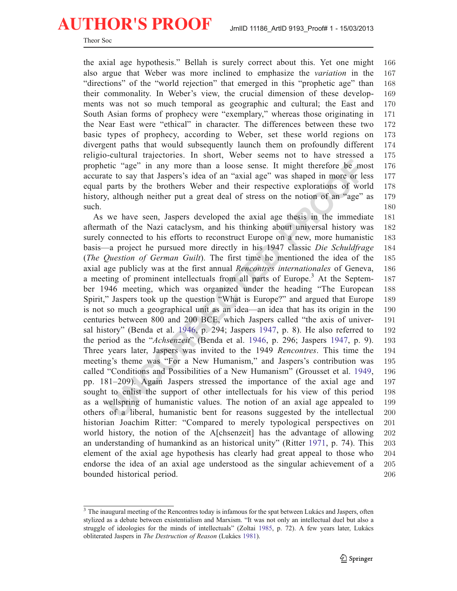#### Theor Soc

the axial age hypothesis." Bellah is surely correct about this. Yet one might 166 also argue that Weber was more inclined to emphasize the variation in the 167 "directions" of the "world rejection" that emerged in this "prophetic age" than 168 their commonality. In Weber's view, the crucial dimension of these develop- 169 ments was not so much temporal as geographic and cultural; the East and 170 South Asian forms of prophecy were "exemplary," whereas those originating in 171 the Near East were "ethical" in character. The differences between these two 172 basic types of prophecy, according to Weber, set these world regions on 173 divergent paths that would subsequently launch them on profoundly different 174 religio-cultural trajectories. In short, Weber seems not to have stressed a 175 prophetic "age" in any more than a loose sense. It might therefore be most 176 accurate to say that Jaspers's idea of an "axial age" was shaped in more or less 177 equal parts by the brothers Weber and their respective explorations of world 178 history, although neither put a great deal of stress on the notion of an "age" as 179 such. 180

tic "age" in any more than a loose sense. It might therefore be mote to say that Jaspers's idea of an "axial age" was shaped in more or le parts by the brothers Weber and their respective explorations of wor, although nei As we have seen, Jaspers developed the axial age thesis in the immediate 181 aftermath of the Nazi cataclysm, and his thinking about universal history was 182 surely connected to his efforts to reconstruct Europe on a new, more humanistic 183 basis—a project he pursued more directly in his 1947 classic Die Schuldfrage 184 (The Question of German Guilt). The first time he mentioned the idea of the 185 axial age publicly was at the first annual Rencontres internationales of Geneva, 186 a meeting of prominent intellectuals from all parts of Europe.<sup>3</sup> At the Septem-  $187$ ber 1946 meeting, which was organized under the heading "The European 188 Spirit," Jaspers took up the question "What is Europe?" and argued that Europe 189 is not so much a geographical unit as an idea—an idea that has its origin in the 190 centuries between 800 and 200 BCE, which Jaspers called "the axis of univer- 191 sal history" (Benda et al. 1946, p. 294; Jaspers 1947, p. 8). He also referred to 192 the period as the "*Achsenzeit*" (Benda et al. 1946, p. 296; Jaspers 1947, p. 9). 193 Three years later, Jaspers was invited to the 1949 Rencontres. This time the 194 meeting's theme was "For a New Humanism," and Jaspers's contribution was 195 called "Conditions and Possibilities of a New Humanism" (Grousset et al. 1949, 196 pp. 181–209). Again Jaspers stressed the importance of the axial age and 197 sought to enlist the support of other intellectuals for his view of this period 198 as a wellspring of humanistic values. The notion of an axial age appealed to 199 others of a liberal, humanistic bent for reasons suggested by the intellectual 200 historian Joachim Ritter: "Compared to merely typological perspectives on 201 world history, the notion of the A[chsenzeit] has the advantage of allowing 202 an understanding of humankind as an historical unity" (Ritter 1971, p. 74). This 203 element of the axial age hypothesis has clearly had great appeal to those who 204 endorse the idea of an axial age understood as the singular achievement of a 205 bounded historical period. 206

<sup>&</sup>lt;sup>3</sup> The inaugural meeting of the Rencontres today is infamous for the spat between Lukács and Jaspers, often stylized as a debate between existentialism and Marxism. "It was not only an intellectual duel but also a struggle of ideologies for the minds of intellectuals" (Zoltai 1985, p. 72). A few years later, Lukács obliterated Jaspers in The Destruction of Reason (Lukács 1981).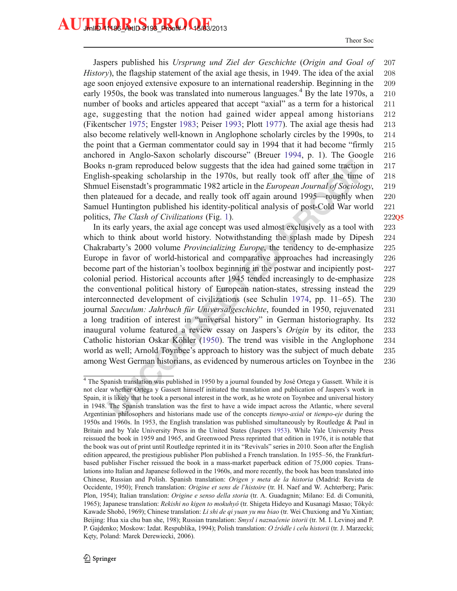Jaspers published his Ursprung und Ziel der Geschichte (Origin and Goal of 207 History), the flagship statement of the axial age thesis, in 1949. The idea of the axial 208 age soon enjoyed extensive exposure to an international readership. Beginning in the 209 early 1950s, the book was translated into numerous languages.<sup>4</sup> By the late 1970s, a 210 number of books and articles appeared that accept "axial" as a term for a historical 211 age, suggesting that the notion had gained wider appeal among historians 212 (Fikentscher 1975; Engster 1983; Peiser 1993; Plott 1977). The axial age thesis had 213 also become relatively well-known in Anglophone scholarly circles by the 1990s, to 214 the point that a German commentator could say in 1994 that it had become "firmly 215 anchored in Anglo-Saxon scholarly discourse" (Breuer 1994, p. 1). The Google 216 Books n-gram reproduced below suggests that the idea had gained some traction in 217 English-speaking scholarship in the 1970s, but really took off after the time of 218 Shmuel Eisenstadt's programmatic 1982 article in the *European Journal of Sociology*, 219 then plateaued for a decade, and really took off again around 1995—roughly when 220 Samuel Huntington published his identity-political analysis of post-Cold War world 221 politics, The Clash of Civilizations (Fig. 1). 222Q5

n-gram reproduced below suggests that the idea had gained some traction<br>n-speaking scholarship in the 1970s, but really took off after the time<br>lessentative programmatic 1982 article in the *European Journal of Sociology* In its early years, the axial age concept was used almost exclusively as a tool with 223 which to think about world history. Notwithstanding the splash made by Dipesh 224 Chakrabarty's 2000 volume Provincializing Europe, the tendency to de-emphasize 225 Europe in favor of world-historical and comparative approaches had increasingly 226 become part of the historian's toolbox beginning in the postwar and incipiently post- 227 colonial period. Historical accounts after 1945 tended increasingly to de-emphasize 228 the conventional political history of European nation-states, stressing instead the 229 interconnected development of civilizations (see Schulin 1974, pp. 11–65). The 230 journal Saeculum: Jahrbuch für Universalgeschichte, founded in 1950, rejuvenated 231 a long tradition of interest in "universal history" in German historiography. Its 232 inaugural volume featured a review essay on Jaspers's *Origin* by its editor, the 233 Catholic historian Oskar Köhler (1950). The trend was visible in the Anglophone 234 world as well; Arnold Toynbee's approach to history was the subject of much debate 235 among West German historians, as evidenced by numerous articles on Toynbee in the 236

<sup>&</sup>lt;sup>4</sup> The Spanish translation was published in 1950 by a journal founded by José Ortega y Gassett. While it is not clear whether Ortega y Gassett himself initiated the translation and publication of Jaspers's work in Spain, it is likely that he took a personal interest in the work, as he wrote on Toynbee and universal history in 1948. The Spanish translation was the first to have a wide impact across the Atlantic, where several Argentinian philosophers and historians made use of the concepts tiempo-axial or tiempo-eje during the 1950s and 1960s. In 1953, the English translation was published simultaneously by Routledge & Paul in Britain and by Yale University Press in the United States (Jaspers 1953). While Yale University Press reissued the book in 1959 and 1965, and Greenwood Press reprinted that edition in 1976, it is notable that the book was out of print until Routledge reprinted it in its "Revivals" series in 2010. Soon after the English edition appeared, the prestigious publisher Plon published a French translation. In 1955–56, the Frankfurtbased publisher Fischer reissued the book in a mass-market paperback edition of 75,000 copies. Translations into Italian and Japanese followed in the 1960s, and more recently, the book has been translated into Chinese, Russian and Polish. Spanish translation: Origen y meta de la historia (Madrid: Revista de Occidente, 1950); French translation: Origine et sens de l'histoire (tr. H. Naef and W. Achterberg; Paris: Plon, 1954); Italian translation: Origine e senso della storia (tr. A. Guadagnin; Milano: Ed. di Comunità, 1965); Japanese translation: Rekishi no kigen to mokuhyô (tr. Shigeta Hideyo and Kusanagi Masao; Tôkyô: Kawade Shobô, 1969); Chinese translation: Li shi de qi yuan yu mu biao (tr. Wei Chuxiong and Yu Xintian; Beijing: Hua xia chu ban she, 198); Russian translation: Smysl i naznačenie istorii (tr. M. I. Levinoj and P. P. Gajdenko; Moskow: Izdat. Respublika, 1994); Polish translation: O źródle i celu historii (tr. J. Marzecki; Kęty, Poland: Marek Derewiecki, 2006).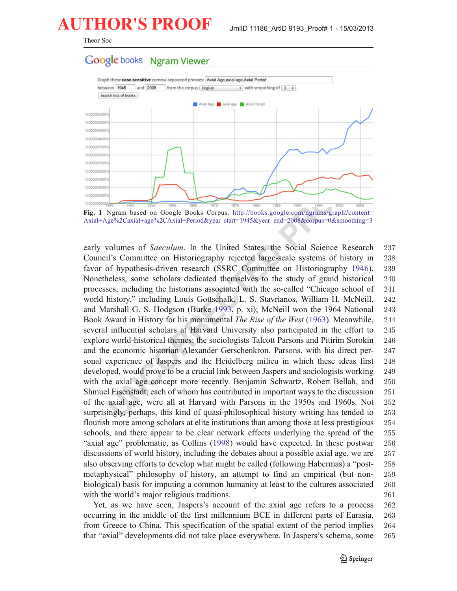Theor Soc

### Google books Ngram Viewer



Fig. 1 Ngram based on Google Books Corpus. http://books.google.com/ngrams/graph?content= Axial+Age%2Caxial+age%2CAxial+Period&year\_start=1945&year\_end=2008&corpus=0&smoothing=3

Ngram based on Google Books Corpus. http://books.google.com/ingrams/graph?conterge%2Cxxial+age%2Cxxial+Period&year\_start=1945&year\_end=2008&corpus=0&smoothing<br>volumes of *Saeculum*. In the United States, the Social Science early volumes of *Saeculum*. In the United States, the Social Science Research 237 Council's Committee on Historiography rejected large-scale systems of history in 238 favor of hypothesis-driven research (SSRC Committee on Historiography 1946). 239 Nonetheless, some scholars dedicated themselves to the study of grand historical 240 processes, including the historians associated with the so-called "Chicago school of 241 world history," including Louis Gottschalk, L. S. Stavrianos, William H. McNeill, 242 and Marshall G. S. Hodgson (Burke 1993, p. xi); McNeill won the 1964 National 243 Book Award in History for his monumental The Rise of the West (1963). Meanwhile, 244 several influential scholars at Harvard University also participated in the effort to 245 explore world-historical themes: the sociologists Talcott Parsons and Pitirim Sorokin 246 and the economic historian Alexander Gerschenkron. Parsons, with his direct per- 247 sonal experience of Jaspers and the Heidelberg milieu in which these ideas first 248 developed, would prove to be a crucial link between Jaspers and sociologists working 249 with the axial age concept more recently. Benjamin Schwartz, Robert Bellah, and 250 Shmuel Eisenstadt, each of whom has contributed in important ways to the discussion 251 of the axial age, were all at Harvard with Parsons in the 1950s and 1960s. Not 252 surprisingly, perhaps, this kind of quasi-philosophical history writing has tended to 253 flourish more among scholars at elite institutions than among those at less prestigious 254 schools, and there appear to be clear network effects underlying the spread of the 255 "axial age" problematic, as Collins (1998) would have expected. In these postwar 256 discussions of world history, including the debates about a possible axial age, we are 257 also observing efforts to develop what might be called (following Habermas) a "post- 258 metaphysical" philosophy of history, an attempt to find an empirical (but non- 259 biological) basis for imputing a common humanity at least to the cultures associated 260 with the world's major religious traditions. 261

Yet, as we have seen, Jaspers's account of the axial age refers to a process 262 occurring in the middle of the first millennium BCE in different parts of Eurasia, 263 from Greece to China. This specification of the spatial extent of the period implies 264 that "axial" developments did not take place everywhere. In Jaspers's schema, some 265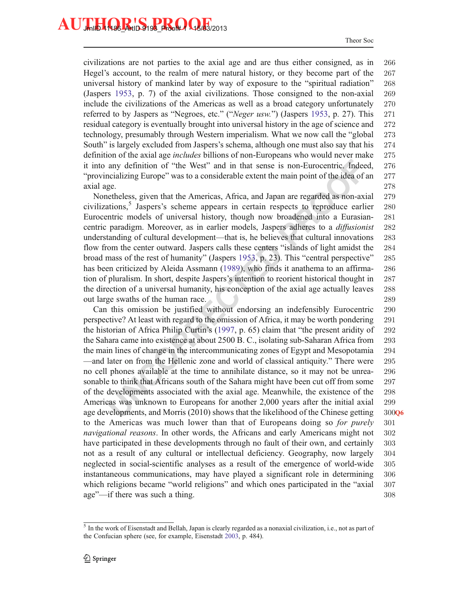civilizations are not parties to the axial age and are thus either consigned, as in 266 Hegel's account, to the realm of mere natural history, or they become part of the 267 universal history of mankind later by way of exposure to the "spiritual radiation" 268 (Jaspers 1953, p. 7) of the axial civilizations. Those consigned to the non-axial 269 include the civilizations of the Americas as well as a broad category unfortunately 270 referred to by Jaspers as "Negroes, etc." ("Neger usw.") (Jaspers 1953, p. 27). This 271 residual category is eventually brought into universal history in the age of science and 272 technology, presumably through Western imperialism. What we now call the "global 273 South" is largely excluded from Jaspers's schema, although one must also say that his 274 definition of the axial age *includes* billions of non-Europeans who would never make 275 it into any definition of "the West" and in that sense is non-Eurocentric. Indeed, 276 "provincializing Europe" was to a considerable extent the main point of the idea of an 277 axial age. 278

Nonetheless, given that the Americas, Africa, and Japan are regarded as non-axial 279 civilizations,  $\frac{5}{8}$  Jaspers's scheme appears in certain respects to reproduce earlier 280 Eurocentric models of universal history, though now broadened into a Eurasian- 281 centric paradigm. Moreover, as in earlier models, Jaspers adheres to a diffusionist 282 understanding of cultural development—that is, he believes that cultural innovations 283 flow from the center outward. Jaspers calls these centers "islands of light amidst the 284 broad mass of the rest of humanity" (Jaspers 1953, p. 23). This "central perspective" 285 has been criticized by Aleida Assmann (1989), who finds it anathema to an affirma- 286 tion of pluralism. In short, despite Jaspers's intention to reorient historical thought in 287 the direction of a universal humanity, his conception of the axial age actually leaves 288 out large swaths of the human race.

any definition of "the West" and in that sense is non-Eurocentric. Indee<br>colalizing Europe" was to a considerable extent the main point of the idea of :<br>ge.<br>detelleess, given that the Americas, Africa, and Japan are regard Can this omission be justified without endorsing an indefensibly Eurocentric 290 perspective? At least with regard to the omission of Africa, it may be worth pondering 291 the historian of Africa Philip Curtin's (1997, p. 65) claim that "the present aridity of 292 the Sahara came into existence at about 2500 B. C., isolating sub-Saharan Africa from 293 the main lines of change in the intercommunicating zones of Egypt and Mesopotamia 294 —and later on from the Hellenic zone and world of classical antiquity." There were 295 no cell phones available at the time to annihilate distance, so it may not be unrea- 296 sonable to think that Africans south of the Sahara might have been cut off from some 297 of the developments associated with the axial age. Meanwhile, the existence of the 298 Americas was unknown to Europeans for another 2,000 years after the initial axial 299 age developments, and Morris (2010) shows that the likelihood of the Chinese getting 300Q6 to the Americas was much lower than that of Europeans doing so *for purely* 301 navigational reasons. In other words, the Africans and early Americans might not 302 have participated in these developments through no fault of their own, and certainly 303 not as a result of any cultural or intellectual deficiency. Geography, now largely 304 neglected in social-scientific analyses as a result of the emergence of world-wide 305 instantaneous communications, may have played a significant role in determining 306 which religions became "world religions" and which ones participated in the "axial 307 age"—if there was such a thing.  $308$ 

<sup>5</sup> In the work of Eisenstadt and Bellah, Japan is clearly regarded as a nonaxial civilization, i.e., not as part of the Confucian sphere (see, for example, Eisenstadt 2003, p. 484).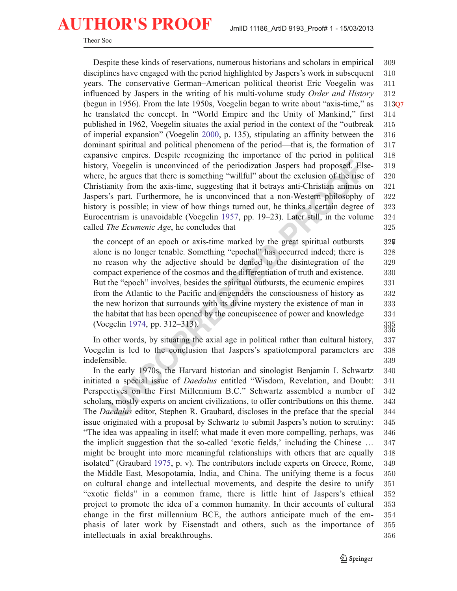Theor Soc

Despite these kinds of reservations, numerous historians and scholars in empirical 309 disciplines have engaged with the period highlighted by Jaspers's work in subsequent 310 years. The conservative German–American political theorist Eric Voegelin was 311 influenced by Jaspers in the writing of his multi-volume study Order and History 312 (begun in 1956). From the late 1950s, Voegelin began to write about "axis-time," as 313Q7 he translated the concept. In "World Empire and the Unity of Mankind," first 314 published in 1962, Voegelin situates the axial period in the context of the "outbreak 315 of imperial expansion" (Voegelin 2000, p. 135), stipulating an affinity between the 316 dominant spiritual and political phenomena of the period—that is, the formation of 317 expansive empires. Despite recognizing the importance of the period in political 318 history, Voegelin is unconvinced of the periodization Jaspers had proposed. Else- 319 where, he argues that there is something "willful" about the exclusion of the rise of 320 Christianity from the axis-time, suggesting that it betrays anti-Christian animus on 321 Jaspers's part. Furthermore, he is unconvinced that a non-Western philosophy of 322 history is possible; in view of how things turned out, he thinks a certain degree of 323 Eurocentrism is unavoidable (Voegelin 1957, pp. 19–23). Later still, in the volume 324 called *The Ecumenic Age*, he concludes that 325

, Voegelin is unconvinced of the periodization Jaspers had proposed. Els<br>he argues that there is something "willful" about the exclusion of the rise<br>anity from the axis-time, suggesting that it bettrays anti-Christian anim the concept of an epoch or axis-time marked by the great spiritual outbursts 327 alone is no longer tenable. Something "epochal" has occurred indeed; there is 328 no reason why the adjective should be denied to the disintegration of the 329 compact experience of the cosmos and the differentiation of truth and existence. 330 But the "epoch" involves, besides the spiritual outbursts, the ecumenic empires 331 from the Atlantic to the Pacific and engenders the consciousness of history as 332 the new horizon that surrounds with its divine mystery the existence of man in 333 the habitat that has been opened by the concupiscence of power and knowledge 334 (Voegelin 1974, pp. 312–313). 336

In other words, by situating the axial age in political rather than cultural history, 337 Voegelin is led to the conclusion that Jaspers's spatiotemporal parameters are 338 indefensible. 339

In the early 1970s, the Harvard historian and sinologist Benjamin I. Schwartz 340 initiated a special issue of Daedalus entitled "Wisdom, Revelation, and Doubt: 341 Perspectives on the First Millennium B.C." Schwartz assembled a number of 342 scholars, mostly experts on ancient civilizations, to offer contributions on this theme. 343 The *Daedalus* editor, Stephen R. Graubard, discloses in the preface that the special 344 issue originated with a proposal by Schwartz to submit Jaspers's notion to scrutiny: 345 "The idea was appealing in itself; what made it even more compelling, perhaps, was 346 the implicit suggestion that the so-called 'exotic fields,' including the Chinese … 347 might be brought into more meaningful relationships with others that are equally 348 isolated" (Graubard 1975, p. v). The contributors include experts on Greece, Rome, 349 the Middle East, Mesopotamia, India, and China. The unifying theme is a focus 350 on cultural change and intellectual movements, and despite the desire to unify 351 "exotic fields" in a common frame, there is little hint of Jaspers's ethical 352 project to promote the idea of a common humanity. In their accounts of cultural 353 change in the first millennium BCE, the authors anticipate much of the em- 354 phasis of later work by Eisenstadt and others, such as the importance of 355 intellectuals in axial breakthroughs. 356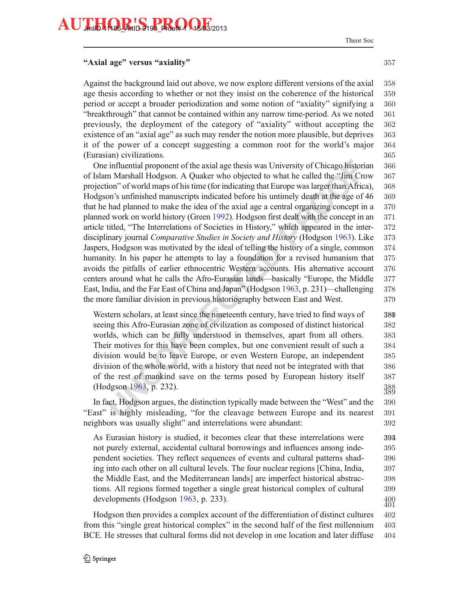Theor Soc

### "Axial age" versus "axiality" 357

Against the background laid out above, we now explore different versions of the axial 358 age thesis according to whether or not they insist on the coherence of the historical 359 period or accept a broader periodization and some notion of "axiality" signifying a 360 "breakthrough" that cannot be contained within any narrow time-period. As we noted 361 previously, the deployment of the category of "axiality" without accepting the 362 existence of an "axial age" as such may render the notion more plausible, but deprives 363 it of the power of a concept suggesting a common root for the world's major 364 (Eurasian) civilizations. 365

i mfluential proponent of the axial age thesis was University of Chicago historial Moralson. A Quaker who objected to what he called the "Jim Cro for world maps of his time (for including that Europe was larger than Africa One influential proponent of the axial age thesis was University of Chicago historian 366 of Islam Marshall Hodgson. A Quaker who objected to what he called the "Jim Crow 367 projection" of world maps of his time (for indicating that Europe was larger than Africa), 368 Hodgson's unfinished manuscripts indicated before his untimely death at the age of 46 369 that he had planned to make the idea of the axial age a central organizing concept in a 370 planned work on world history (Green 1992). Hodgson first dealt with the concept in an 371 article titled, "The Interrelations of Societies in History," which appeared in the inter- 372 disciplinary journal Comparative Studies in Society and History (Hodgson 1963). Like 373 Jaspers, Hodgson was motivated by the ideal of telling the history of a single, common 374 humanity. In his paper he attempts to lay a foundation for a revised humanism that 375 avoids the pitfalls of earlier ethnocentric Western accounts. His alternative account 376 centers around what he calls the Afro-Eurasian lands—basically "Europe, the Middle 377 East, India, and the Far East of China and Japan" (Hodgson 1963, p. 231)—challenging 378 the more familiar division in previous historiography between East and West. 379

Western scholars, at least since the nineteenth century, have tried to find ways of 380 seeing this Afro-Eurasian zone of civilization as composed of distinct historical 382 worlds, which can be fully understood in themselves, apart from all others. 383 Their motives for this have been complex, but one convenient result of such a 384 division would be to leave Europe, or even Western Europe, an independent 385 division of the whole world, with a history that need not be integrated with that 386 of the rest of mankind save on the terms posed by European history itself 387 (Hodgson 1963, p. 232). 389

In fact, Hodgson argues, the distinction typically made between the "West" and the 390 "East" is highly misleading, "for the cleavage between Europe and its nearest 391 neighbors was usually slight" and interrelations were abundant: 392

As Eurasian history is studied, it becomes clear that these interrelations were 3934 not purely external, accidental cultural borrowings and influences among inde- 395 pendent societies. They reflect sequences of events and cultural patterns shad- 396 ing into each other on all cultural levels. The four nuclear regions [China, India, 397 the Middle East, and the Mediterranean lands] are imperfect historical abstrac- 398 tions. All regions formed together a single great historical complex of cultural 399 developments (Hodgson  $1963$ , p. 233). 400

Hodgson then provides a complex account of the differentiation of distinct cultures 402 from this "single great historical complex" in the second half of the first millennium 403 BCE. He stresses that cultural forms did not develop in one location and later diffuse 404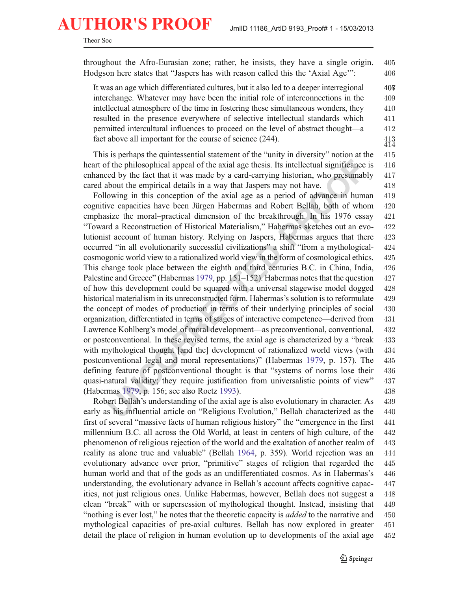throughout the Afro-Eurasian zone; rather, he insists, they have a single origin. 405 Hodgson here states that "Jaspers has with reason called this the 'Axial Age'": 406

It was an age which differentiated cultures, but it also led to a deeper interregional 408 interchange. Whatever may have been the initial role of interconnections in the 409 intellectual atmosphere of the time in fostering these simultaneous wonders, they 410 resulted in the presence everywhere of selective intellectual standards which 411 permitted intercultural influences to proceed on the level of abstract thought—a 412 fact above all important for the course of science (244). 414

This is perhaps the quintessential statement of the "unity in diversity" notion at the 415 heart of the philosophical appeal of the axial age thesis. Its intellectual significance is 416 enhanced by the fact that it was made by a card-carrying historian, who presumably 417 cared about the empirical details in a way that Jaspers may not have. 418

f the philosophical appeal of the axial age thesis. Its intellectual significance<br>ed by the fact that it was made by a card-carrying historian, who presumab<br>bowi the empirical details in a way that Jaspers may not have.<br>ho Following in this conception of the axial age as a period of advance in human 419 cognitive capacities have been Jürgen Habermas and Robert Bellah, both of whom 420 emphasize the moral–practical dimension of the breakthrough. In his 1976 essay 421 "Toward a Reconstruction of Historical Materialism," Habermas sketches out an evo- 422 lutionist account of human history. Relying on Jaspers, Habermas argues that there 423 occurred "in all evolutionarily successful civilizations" a shift "from a mythological- 424 cosmogonic world view to a rationalized world view in the form of cosmological ethics. 425 This change took place between the eighth and third centuries B.C. in China, India, 426 Palestine and Greece" (Habermas 1979, pp. 151–152). Habermas notes that the question 427 of how this development could be squared with a universal stagewise model dogged 428 historical materialism in its unreconstructed form. Habermas's solution is to reformulate 429 the concept of modes of production in terms of their underlying principles of social 430 organization, differentiated in terms of stages of interactive competence—derived from 431 Lawrence Kohlberg's model of moral development—as preconventional, conventional, 432 or postconventional. In these revised terms, the axial age is characterized by a "break 433 with mythological thought [and the] development of rationalized world views (with 434 postconventional legal and moral representations)" (Habermas 1979, p. 157). The 435 defining feature of postconventional thought is that "systems of norms lose their 436 quasi-natural validity; they require justification from universalistic points of view" 437 (Habermas 1979, p. 156; see also Roetz 1993). 438

Robert Bellah's understanding of the axial age is also evolutionary in character. As 439 early as his influential article on "Religious Evolution," Bellah characterized as the 440 first of several "massive facts of human religious history" the "emergence in the first 441 millennium B.C. all across the Old World, at least in centers of high culture, of the 442 phenomenon of religious rejection of the world and the exaltation of another realm of 443 reality as alone true and valuable" (Bellah 1964, p. 359). World rejection was an 444 evolutionary advance over prior, "primitive" stages of religion that regarded the 445 human world and that of the gods as an undifferentiated cosmos. As in Habermas's 446 understanding, the evolutionary advance in Bellah's account affects cognitive capac- 447 ities, not just religious ones. Unlike Habermas, however, Bellah does not suggest a 448 clean "break" with or supersession of mythological thought. Instead, insisting that 449 "nothing is ever lost," he notes that the theoretic capacity is *added* to the narrative and 450 mythological capacities of pre-axial cultures. Bellah has now explored in greater 451 detail the place of religion in human evolution up to developments of the axial age 452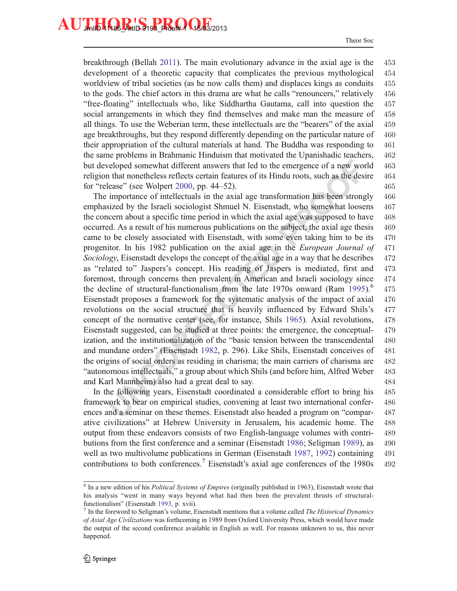breakthrough (Bellah 2011). The main evolutionary advance in the axial age is the 453 development of a theoretic capacity that complicates the previous mythological 454 worldview of tribal societies (as he now calls them) and displaces kings as conduits 455 to the gods. The chief actors in this drama are what he calls "renouncers," relatively 456 "free-floating" intellectuals who, like Siddhartha Gautama, call into question the 457 social arrangements in which they find themselves and make man the measure of 458 all things. To use the Weberian term, these intellectuals are the "bearers" of the axial 459 age breakthroughs, but they respond differently depending on the particular nature of 460 their appropriation of the cultural materials at hand. The Buddha was responding to 461 the same problems in Brahmanic Hinduism that motivated the Upanishadic teachers, 462 but developed somewhat different answers that led to the emergence of a new world 463 religion that nonetheless reflects certain features of its Hindu roots, such as the desire 464 for "release" (see Wolpert 2000, pp. 44–52). 465

veloped somewhat different answers that led to the emergence of a new wor<br>that nonetheless reflects certain features of its Hindu roots, such as the desi<br>lease" (see Wolpert 2000, pp. 44-52).<br>Importance of intellectuals in The importance of intellectuals in the axial age transformation has been strongly 466 emphasized by the Israeli sociologist Shmuel N. Eisenstadt, who somewhat loosens 467 the concern about a specific time period in which the axial age was supposed to have 468 occurred. As a result of his numerous publications on the subject, the axial age thesis 469 came to be closely associated with Eisenstadt, with some even taking him to be its 470 progenitor. In his 1982 publication on the axial age in the European Journal of 471 Sociology, Eisenstadt develops the concept of the axial age in a way that he describes 472 as "related to" Jaspers's concept. His reading of Jaspers is mediated, first and 473 foremost, through concerns then prevalent in American and Israeli sociology since 474 the decline of structural-functionalism from the late  $1970s$  onward (Ram  $1995$ ).<sup>6</sup> 475 Eisenstadt proposes a framework for the systematic analysis of the impact of axial 476 revolutions on the social structure that is heavily influenced by Edward Shils's 477 concept of the normative center (see, for instance, Shils 1965). Axial revolutions, 478 Eisenstadt suggested, can be studied at three points: the emergence, the conceptual- 479 ization, and the institutionalization of the "basic tension between the transcendental 480 and mundane orders" (Eisenstadt 1982, p. 296). Like Shils, Eisenstadt conceives of 481 the origins of social orders as residing in charisma; the main carriers of charisma are 482 "autonomous intellectuals," a group about which Shils (and before him, Alfred Weber 483 and Karl Mannheim) also had a great deal to say. 484

In the following years, Eisenstadt coordinated a considerable effort to bring his 485 framework to bear on empirical studies, convening at least two international confer- 486 ences and a seminar on these themes. Eisenstadt also headed a program on "compar- 487 ative civilizations" at Hebrew University in Jerusalem, his academic home. The 488 output from these endeavors consists of two English-language volumes with contri- 489 butions from the first conference and a seminar (Eisenstadt 1986; Seligman 1989), as 490 well as two multivolume publications in German (Eisenstadt 1987, 1992) containing 491 contributions to both conferences.<sup>7</sup> Eisenstadt's axial age conferences of the  $1980s - 492$ 

 $<sup>6</sup>$  In a new edition of his *Political Systems of Empires* (originally published in 1963), Eisenstadt wrote that</sup> his analysis "went in many ways beyond what had then been the prevalent thrusts of structuralfunctionalism" (Eisenstadt 1993, p. xvii).<br><sup>7</sup> In the foreword to Seligman's volume, Eisenstadt mentions that a volume called *The Historical Dynamics* 

of Axial Age Civilizations was forthcoming in 1989 from Oxford University Press, which would have made the output of the second conference available in English as well. For reasons unknown to us, this never happened.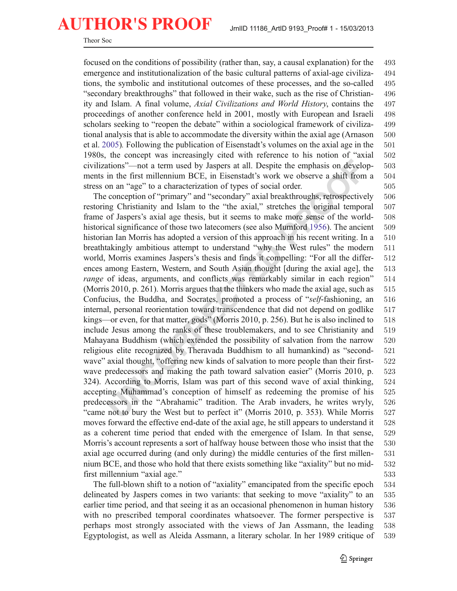#### Theor Soc

focused on the conditions of possibility (rather than, say, a causal explanation) for the 493 emergence and institutionalization of the basic cultural patterns of axial-age civiliza- 494 tions, the symbolic and institutional outcomes of these processes, and the so-called 495 "secondary breakthroughs" that followed in their wake, such as the rise of Christian- 496 ity and Islam. A final volume, Axial Civilizations and World History, contains the 497 proceedings of another conference held in 2001, mostly with European and Israeli 498 scholars seeking to "reopen the debate" within a sociological framework of civiliza- 499 tional analysis that is able to accommodate the diversity within the axial age (Arnason 500 et al. 2005). Following the publication of Eisenstadt's volumes on the axial age in the 501 1980s, the concept was increasingly cited with reference to his notion of "axial 502 civilizations"—not a term used by Jaspers at all. Despite the emphasis on develop- 503 ments in the first millennium BCE, in Eisenstadt's work we observe a shift from a 504 stress on an "age" to a characterization of types of social order.  $505$ 

ations"—not a term used by Jaspers at all. Despite the emphasis on develo<br>in the first millennium BCE, in Eisenstadt's work we observe a shift from<br>na m "age" to a characterization of types of social order.<br>conception of The conception of "primary" and "secondary" axial breakthroughs, retrospectively 506 restoring Christianity and Islam to the "the axial," stretches the original temporal 507 frame of Jaspers's axial age thesis, but it seems to make more sense of the world- 508 historical significance of those two latecomers (see also Mumford 1956). The ancient 509 historian Ian Morris has adopted a version of this approach in his recent writing. In a 510 breathtakingly ambitious attempt to understand "why the West rules" the modern 511 world, Morris examines Jaspers's thesis and finds it compelling: "For all the differ- 512 ences among Eastern, Western, and South Asian thought [during the axial age], the 513 range of ideas, arguments, and conflicts was remarkably similar in each region" 514 (Morris 2010, p. 261). Morris argues that the thinkers who made the axial age, such as  $515$ Confucius, the Buddha, and Socrates, promoted a process of "self-fashioning, an 516 internal, personal reorientation toward transcendence that did not depend on godlike 517 kings—or even, for that matter, gods" (Morris 2010, p. 256). But he is also inclined to 518 include Jesus among the ranks of these troublemakers, and to see Christianity and 519 Mahayana Buddhism (which extended the possibility of salvation from the narrow 520 religious elite recognized by Theravada Buddhism to all humankind) as "second- 521 wave" axial thought, "offering new kinds of salvation to more people than their first- 522 wave predecessors and making the path toward salvation easier" (Morris 2010, p. 523 324). According to Morris, Islam was part of this second wave of axial thinking, 524 accepting Muhammad's conception of himself as redeeming the promise of his 525 predecessors in the "Abrahamic" tradition. The Arab invaders, he writes wryly, 526 "came not to bury the West but to perfect it" (Morris 2010, p. 353). While Morris 527 moves forward the effective end-date of the axial age, he still appears to understand it 528 as a coherent time period that ended with the emergence of Islam. In that sense, 529 Morris's account represents a sort of halfway house between those who insist that the 530 axial age occurred during (and only during) the middle centuries of the first millen- 531 nium BCE, and those who hold that there exists something like "axiality" but no mid- 532 first millennium "axial age." 533

The full-blown shift to a notion of "axiality" emancipated from the specific epoch 534 delineated by Jaspers comes in two variants: that seeking to move "axiality" to an 535 earlier time period, and that seeing it as an occasional phenomenon in human history 536 with no prescribed temporal coordinates whatsoever. The former perspective is 537 perhaps most strongly associated with the views of Jan Assmann, the leading 538 Egyptologist, as well as Aleida Assmann, a literary scholar. In her 1989 critique of 539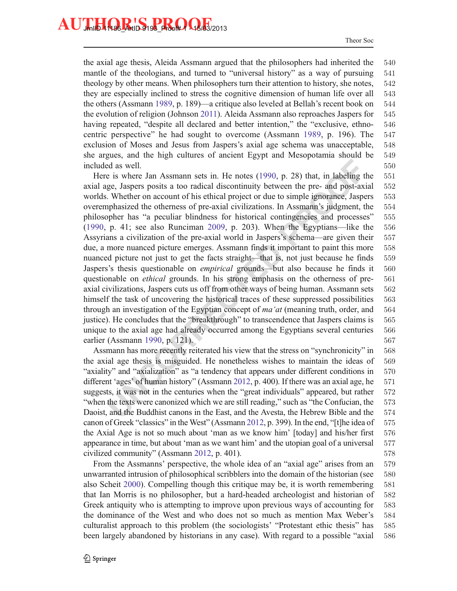the axial age thesis, Aleida Assmann argued that the philosophers had inherited the 540 mantle of the theologians, and turned to "universal history" as a way of pursuing 541 theology by other means. When philosophers turn their attention to history, she notes, 542 they are especially inclined to stress the cognitive dimension of human life over all 543 the others (Assmann 1989, p. 189)—a critique also leveled at Bellah's recent book on 544 the evolution of religion (Johnson 2011). Aleida Assmann also reproaches Jaspers for 545 having repeated, "despite all declared and better intention," the "exclusive, ethno- 546 centric perspective" he had sought to overcome (Assmann 1989, p. 196). The 547 exclusion of Moses and Jesus from Jaspers's axial age schema was unacceptable, 548 she argues, and the high cultures of ancient Egypt and Mesopotamia should be 549 included as well. 550

Eq. Jaspers possible, the model of the concludes that the preses of the preses of the Beck, and the Beck, and the Beck, and the Beck, and the Beck and the Beck and the Beck and the Beck and the Beck and the Beck and post-Here is where Jan Assmann sets in. He notes (1990, p. 28) that, in labeling the 551 axial age, Jaspers posits a too radical discontinuity between the pre- and post-axial 552 worlds. Whether on account of his ethical project or due to simple ignorance, Jaspers 553 overemphasized the otherness of pre-axial civilizations. In Assmann's judgment, the 554 philosopher has "a peculiar blindness for historical contingencies and processes" 555 (1990, p. 41; see also Runciman 2009, p. 203). When the Egyptians—like the 556 Assyrians a civilization of the pre-axial world in Jaspers's schema—are given their 557 due, a more nuanced picture emerges. Assmann finds it important to paint this more 558 nuanced picture not just to get the facts straight—that is, not just because he finds 559 Jaspers's thesis questionable on empirical grounds—but also because he finds it 560 questionable on ethical grounds. In his strong emphasis on the otherness of pre- 561 axial civilizations, Jaspers cuts us off from other ways of being human. Assmann sets 562 himself the task of uncovering the historical traces of these suppressed possibilities 563 through an investigation of the Egyptian concept of ma'at (meaning truth, order, and  $564$ justice). He concludes that the "breakthrough" to transcendence that Jaspers claims is 565 unique to the axial age had already occurred among the Egyptians several centuries 566 earlier (Assmann 1990, p. 121).  $567$ 

Assmann has more recently reiterated his view that the stress on "synchronicity" in 568 the axial age thesis is misguided. He nonetheless wishes to maintain the ideas of 569 "axiality" and "axialization" as "a tendency that appears under different conditions in 570 different 'ages' of human history" (Assmann 2012, p. 400). If there was an axial age, he 571 suggests, it was not in the centuries when the "great individuals" appeared, but rather 572 "when the texts were canonized which we are still reading," such as "the Confucian, the 573 Daoist, and the Buddhist canons in the East, and the Avesta, the Hebrew Bible and the 574 canon of Greek "classics" in the West" (Assmann 2012, p. 399). In the end, "[t]he idea of 575 the Axial Age is not so much about 'man as we know him' [today] and his/her first 576 appearance in time, but about 'man as we want him' and the utopian goal of a universal 577 civilized community" (Assmann 2012, p. 401). 578

From the Assmanns' perspective, the whole idea of an "axial age" arises from an 579 unwarranted intrusion of philosophical scribblers into the domain of the historian (see 580 also Scheit 2000). Compelling though this critique may be, it is worth remembering 581 that Ian Morris is no philosopher, but a hard-headed archeologist and historian of 582 Greek antiquity who is attempting to improve upon previous ways of accounting for 583 the dominance of the West and who does not so much as mention Max Weber's 584 culturalist approach to this problem (the sociologists' "Protestant ethic thesis" has 585 been largely abandoned by historians in any case). With regard to a possible "axial 586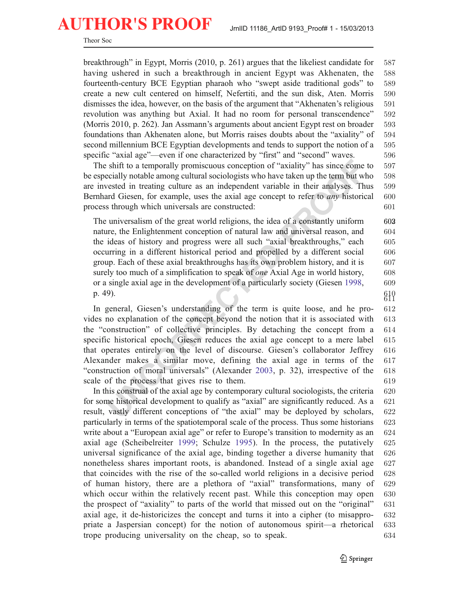#### Theor Soc

breakthrough" in Egypt, Morris (2010, p. 261) argues that the likeliest candidate for 587 having ushered in such a breakthrough in ancient Egypt was Akhenaten, the 588 fourteenth-century BCE Egyptian pharaoh who "swept aside traditional gods" to 589 create a new cult centered on himself, Nefertiti, and the sun disk, Aten. Morris 590 dismisses the idea, however, on the basis of the argument that "Akhenaten's religious 591 revolution was anything but Axial. It had no room for personal transcendence" 592 (Morris 2010, p. 262). Jan Assmann's arguments about ancient Egypt rest on broader 593 foundations than Akhenaten alone, but Morris raises doubts about the "axiality" of 594 second millennium BCE Egyptian developments and tends to support the notion of a 595 specific "axial age"—even if one characterized by "first" and "second" waves.  $596$ 

The shift to a temporally promiscuous conception of "axiality" has since come to 597 be especially notable among cultural sociologists who have taken up the term but who 598 are invested in treating culture as an independent variable in their analyses. Thus 599 Bernhard Giesen, for example, uses the axial age concept to refer to *any* historical 600 process through which universals are constructed: 601

shift to a temporally promiscuous conception of "axiality" has since eome<br>cially notable among cultural sociologists who have taken up the term but whe<br>rested in treating culture as an independent variable in their analyse The universalism of the great world religions, the idea of a constantly uniform 602 nature, the Enlightenment conception of natural law and universal reason, and 604 the ideas of history and progress were all such "axial breakthroughs," each 605 occurring in a different historical period and propelled by a different social 606 group. Each of these axial breakthroughs has its own problem history, and it is 607 surely too much of a simplification to speak of *one* Axial Age in world history, 608 or a single axial age in the development of a particularly society (Giesen 1998, 609 p. 49).  $610$ 

In general, Giesen's understanding of the term is quite loose, and he pro- 612 vides no explanation of the concept beyond the notion that it is associated with 613 the "construction" of collective principles. By detaching the concept from a 614 specific historical epoch, Giesen reduces the axial age concept to a mere label 615 that operates entirely on the level of discourse. Giesen's collaborator Jeffrey 616 Alexander makes a similar move, defining the axial age in terms of the 617 "construction of moral universals" (Alexander 2003, p. 32), irrespective of the 618 scale of the process that gives rise to them. 619

In this construal of the axial age by contemporary cultural sociologists, the criteria 620 for some historical development to qualify as "axial" are significantly reduced. As a 621 result, vastly different conceptions of "the axial" may be deployed by scholars, 622 particularly in terms of the spatiotemporal scale of the process. Thus some historians 623 write about a "European axial age" or refer to Europe's transition to modernity as an 624 axial age (Scheibelreiter 1999; Schulze 1995). In the process, the putatively 625 universal significance of the axial age, binding together a diverse humanity that 626 nonetheless shares important roots, is abandoned. Instead of a single axial age 627 that coincides with the rise of the so-called world religions in a decisive period 628 of human history, there are a plethora of "axial" transformations, many of 629 which occur within the relatively recent past. While this conception may open 630 the prospect of "axiality" to parts of the world that missed out on the "original" 631 axial age, it de-historicizes the concept and turns it into a cipher (to misappro- 632 priate a Jaspersian concept) for the notion of autonomous spirit—a rhetorical 633 trope producing universality on the cheap, so to speak. 634

 $610$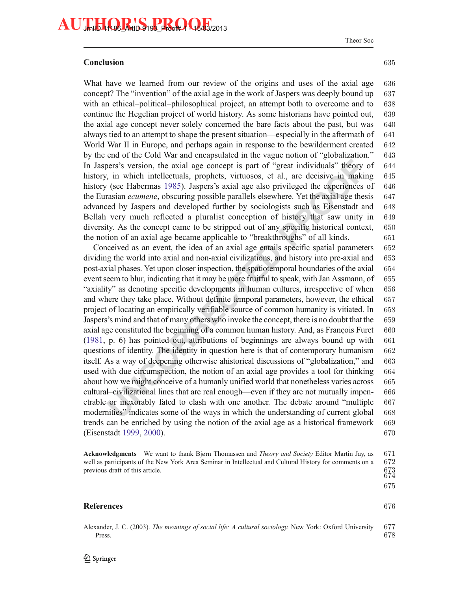Theor Soc

### **Conclusion** 635

What have we learned from our review of the origins and uses of the axial age 636 concept? The "invention" of the axial age in the work of Jaspers was deeply bound up 637 with an ethical–political–philosophical project, an attempt both to overcome and to 638 continue the Hegelian project of world history. As some historians have pointed out, 639 the axial age concept never solely concerned the bare facts about the past, but was 640 always tied to an attempt to shape the present situation—especially in the aftermath of 641 World War II in Europe, and perhaps again in response to the bewilderment created 642 by the end of the Cold War and encapsulated in the vague notion of "globalization." 643 In Jaspers's version, the axial age concept is part of "great individuals" theory of 644 history, in which intellectuals, prophets, virtuosos, et al., are decisive in making 645 history (see Habermas 1985). Jaspers's axial age also privileged the experiences of 646 the Eurasian *ecumene*, obscuring possible parallels elsewhere. Yet the axial age thesis 647 advanced by Jaspers and developed further by sociologists such as Eisenstadt and 648 Bellah very much reflected a pluralist conception of history that saw unity in 649 diversity. As the concept came to be stripped out of any specific historical context, 650 the notion of an axial age became applicable to "breakthroughs" of all kinds. 651

bers's version, the axial age concept is part of "great individuals" theory, in which intellectuals, prophets, virtuosos, et al., are decisive in makinities (see Habermans 1985). Jaspers's axial age also privileged the exp Conceived as an event, the idea of an axial age entails specific spatial parameters 652 dividing the world into axial and non-axial civilizations, and history into pre-axial and 653 post-axial phases. Yet upon closer inspection, the spatiotemporal boundaries of the axial 654 event seem to blur, indicating that it may be more fruitful to speak, with Jan Assmann, of 655 "axiality" as denoting specific developments in human cultures, irrespective of when 656 and where they take place. Without definite temporal parameters, however, the ethical 657 project of locating an empirically verifiable source of common humanity is vitiated. In 658 Jaspers's mind and that of many others who invoke the concept, there is no doubt that the 659 axial age constituted the beginning of a common human history. And, as François Furet 660 (1981, p. 6) has pointed out, attributions of beginnings are always bound up with 661 questions of identity. The identity in question here is that of contemporary humanism 662 itself. As a way of deepening otherwise ahistorical discussions of "globalization," and 663 used with due circumspection, the notion of an axial age provides a tool for thinking 664 about how we might conceive of a humanly unified world that nonetheless varies across 665 cultural–civilizational lines that are real enough—even if they are not mutually impen- 666 etrable or inexorably fated to clash with one another. The debate around "multiple 667 modernities" indicates some of the ways in which the understanding of current global 668 trends can be enriched by using the notion of the axial age as a historical framework 669 (Eisenstadt 1999, 2000). 670

675

### **References** 676

Alexander, J. C. (2003). The meanings of social life: A cultural sociology. New York: Oxford University 677 Press. 678

Acknowledgments We want to thank Bjørn Thomassen and Theory and Society Editor Martin Jay, as 671 well as participants of the New York Area Seminar in Intellectual and Cultural History for comments on a 672 previous draft of this article. 673<br>674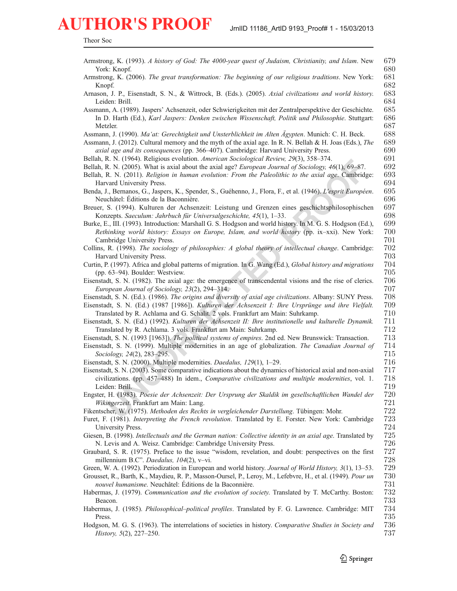Theor Soc

| Armstrong, K. (1993). A history of God: The 4000-year quest of Judaism, Christianity, and Islam. New<br>York: Knopf.                                                                                         | 679<br>680 |
|--------------------------------------------------------------------------------------------------------------------------------------------------------------------------------------------------------------|------------|
| Armstrong, K. (2006). The great transformation: The beginning of our religious traditions. New York:                                                                                                         | 681        |
| Knopf.<br>Arnason, J. P., Eisenstadt, S. N., & Wittrock, B. (Eds.). (2005). Axial civilizations and world history.                                                                                           | 682<br>683 |
| Leiden: Brill.                                                                                                                                                                                               | 684        |
| Assmann, A. (1989). Jaspers' Achsenzeit, oder Schwierigkeiten mit der Zentralperspektive der Geschichte.                                                                                                     | 685        |
| In D. Harth (Ed.), Karl Jaspers: Denken zwischen Wissenschaft, Politik und Philosophie. Stuttgart:                                                                                                           | 686        |
| Metzler.                                                                                                                                                                                                     | 687        |
| Assmann, J. (1990). Ma'at: Gerechtigkeit und Unsterblichkeit im Alten Ägypten. Munich: C. H. Beck.                                                                                                           | 688        |
| Assmann, J. (2012). Cultural memory and the myth of the axial age. In R. N. Bellah & H. Joas (Eds.), The                                                                                                     | 689        |
| axial age and its consequences (pp. 366-407). Cambridge: Harvard University Press.                                                                                                                           | 690        |
| Bellah, R. N. (1964). Religious evolution. American Sociological Review, 29(3), 358-374.                                                                                                                     | 691        |
| Bellah, R. N. (2005). What is axial about the axial age? <i>European Journal of Sociology</i> , 46(1), 69–87.                                                                                                | 692        |
| Bellah, R. N. (2011). Religion in human evolution: From the Paleolithic to the axial age. Cambridge:                                                                                                         | 693        |
| Harvard University Press.                                                                                                                                                                                    | 694        |
| Benda, J., Bernanos, G., Jaspers, K., Spender, S., Guéhenno, J., Flora, F., et al. (1946). L'esprit Européen.                                                                                                | 695        |
| Neuchâtel: Éditions de la Baconnière.                                                                                                                                                                        | 696        |
| Breuer, S. (1994). Kulturen der Achsenzeit: Leistung und Grenzen eines geschichtsphilosophischen<br>Konzepts. Saeculum: Jahrbuch für Universalgeschichte, 45(1), 1-33.                                       | 697<br>698 |
| Burke, E., III. (1993). Introduction: Marshall G. S. Hodgson and world history. In M. G. S. Hodgson (Ed.),                                                                                                   | 699        |
| Rethinking world history: Essays on Europe, Islam, and world history (pp. ix-xxi). New York:                                                                                                                 | 700        |
| Cambridge University Press.                                                                                                                                                                                  | 701        |
| Collins, R. (1998). The sociology of philosophies: A global theory of intellectual change. Cambridge:                                                                                                        | 702        |
| Harvard University Press.                                                                                                                                                                                    | 703        |
| Curtin, P. (1997). Africa and global patterns of migration. In G. Wang (Ed.), Global history and migrations                                                                                                  | 704        |
| (pp. 63–94). Boulder: Westview.                                                                                                                                                                              | 705        |
| Eisenstadt, S. N. (1982). The axial age: the emergence of transcendental visions and the rise of clerics.                                                                                                    | 706        |
| European Journal of Sociology, 23(2), 294-314.                                                                                                                                                               | 707        |
| Eisenstadt, S. N. (Ed.). (1986). The origins and diversity of axial age civilizations. Albany: SUNY Press.                                                                                                   | 708        |
| Eisenstadt, S. N. (Ed.) (1987 [1986]). Kulturen der Achsenzeit I: Ihre Ursprünge und ihre Vielfalt.                                                                                                          | 709        |
| Translated by R. Achlama and G. Schalit. 2 vols. Frankfurt am Main: Suhrkamp.                                                                                                                                | 710        |
| Eisenstadt, S. N. (Ed.) (1992). Kulturen der Achsenzeit II: Ihre institutionelle und kulturelle Dynamik.                                                                                                     | 711        |
| Translated by R. Achlama. 3 vols. Frankfurt am Main: Suhrkamp.                                                                                                                                               | 712<br>713 |
| Eisenstadt, S. N. (1993 [1963]). The political systems of empires. 2nd ed. New Brunswick: Transaction.<br>Eisenstadt, S. N. (1999). Multiple modernities in an age of globalization. The Canadian Journal of | 714        |
| Sociology, 24(2), 283-295.                                                                                                                                                                                   | 715        |
| Eisenstadt, S. N. (2000). Multiple modernities. Daedalus, 129(1), 1-29.                                                                                                                                      | 716        |
| Eisenstadt, S. N. (2003). Some comparative indications about the dynamics of historical axial and non-axial                                                                                                  | 717        |
| civilizations. (pp. 457-488) In idem., Comparative civilizations and multiple modernities, vol. 1.                                                                                                           | 718        |
| Leiden: Brill.                                                                                                                                                                                               | 719        |
| Engster, H. (1983). Poesie der Achsenzeit: Der Ursprung der Skaldik im gesellschaftlichen Wandel der                                                                                                         | 720        |
| Wikingerzeit. Frankfurt am Main: Lang.                                                                                                                                                                       | 721        |
| Fikentscher, W. (1975). Methoden des Rechts in vergleichender Darstellung. Tübingen: Mohr.                                                                                                                   | 722        |
| Furet, F. (1981). Interpreting the French revolution. Translated by E. Forster. New York: Cambridge                                                                                                          | 723        |
| University Press.                                                                                                                                                                                            | 724        |
| Giesen, B. (1998). Intellectuals and the German nation: Collective identity in an axial age. Translated by                                                                                                   | 725        |
| N. Levis and A. Weisz. Cambridge: Cambridge University Press.                                                                                                                                                | 726        |
| Graubard, S. R. (1975). Preface to the issue "wisdom, revelation, and doubt: perspectives on the first                                                                                                       | 727        |
| millennium B.C". Daedalus, 104(2), v-vi.<br>Green, W. A. (1992). Periodization in European and world history. Journal of World History, 3(1), 13–53.                                                         | 728<br>729 |
| Grousset, R., Barth, K., Maydieu, R. P., Masson-Oursel, P., Leroy, M., Lefebvre, H., et al. (1949). Pour un                                                                                                  | 730        |
| nouvel humanisme. Neuchâtel: Éditions de la Baconnière.                                                                                                                                                      | 731        |
| Habermas, J. (1979). Communication and the evolution of society. Translated by T. McCarthy. Boston:                                                                                                          | 732        |
| Beacon.                                                                                                                                                                                                      | 733        |
| Habermas, J. (1985). Philosophical-political profiles. Translated by F. G. Lawrence. Cambridge: MIT                                                                                                          | 734        |
| Press.                                                                                                                                                                                                       | 735        |
| Hodgson, M. G. S. (1963). The interrelations of societies in history. Comparative Studies in Society and                                                                                                     | 736        |
| History, 5(2), 227-250.                                                                                                                                                                                      | 737        |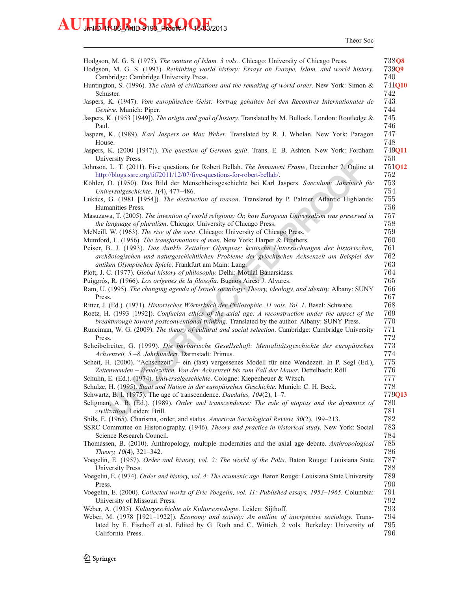| Hodgson, M. G. S. (1975). The venture of Islam. 3 vols Chicago: University of Chicago Press.              | 738Q8  |
|-----------------------------------------------------------------------------------------------------------|--------|
| Hodgson, M. G. S. (1993). Rethinking world history: Essays on Europe, Islam, and world history.           | 739Q9  |
| Cambridge: Cambridge University Press.                                                                    | 740    |
| Huntington, S. (1996). The clash of civilizations and the remaking of world order. New York: Simon &      | 741Q10 |
| Schuster.                                                                                                 | 742    |
| Jaspers, K. (1947). Vom europäischen Geist: Vortrag gehalten bei den Recontres Internationales de         | 743    |
| Genève. Munich: Piper.                                                                                    | 744    |
| Jaspers, K. (1953 [1949]). The origin and goal of history. Translated by M. Bullock. London: Routledge &  | 745    |
| Paul.                                                                                                     | 746    |
| Jaspers, K. (1989). Karl Jaspers on Max Weber. Translated by R. J. Whelan. New York: Paragon              | 747    |
| House.                                                                                                    | 748    |
| Jaspers, K. (2000 [1947]). The question of German guilt. Trans. E. B. Ashton. New York: Fordham           | 749Q11 |
| University Press.                                                                                         | 750    |
|                                                                                                           |        |
| Johnson, L. T. (2011). Five questions for Robert Bellah. The Immanent Frame, December 7. Online at        | 751Q12 |
| http://blogs.ssrc.org/tif/2011/12/07/five-questions-for-robert-bellah/.                                   | 752    |
| Köhler, O. (1950). Das Bild der Menschheitsgeschichte bei Karl Jaspers. Saeculum: Jahrbuch für            | 753    |
| Universalgeschichte, 1(4), 477-486.                                                                       | 754    |
| Lukács, G. (1981 [1954]). The destruction of reason. Translated by P. Palmer. Atlantic Highlands:         | 755    |
| Humanities Press.                                                                                         | 756    |
| Masuzawa, T. (2005). The invention of world religions: Or, how European Universalism was preserved in     | 757    |
| the language of pluralism. Chicago: University of Chicago Press.                                          | 758    |
| McNeill, W. (1963). The rise of the west. Chicago: University of Chicago Press.                           | 759    |
| Mumford, L. (1956). The transformations of man. New York: Harper & Brothers.                              | 760    |
| Peiser, B. J. (1993). Das dunkle Zeitalter Olympias: kritische Untersuchungen der historischen,           | 761    |
| archäologischen und naturgeschichtlichen Probleme der griechischen Achsenzeit am Beispiel der             | 762    |
| antiken Olympischen Spiele. Frankfurt am Main: Lang.                                                      | 763    |
| Plott, J. C. (1977). Global history of philosophy. Delhi: Motilal Banarsidass.                            | 764    |
| Puiggrós, R. (1966). Los orígenes de la filosofía. Buenos Aires: J. Alvares.                              | 765    |
| Ram, U. (1995). The changing agenda of Israeli sociology: Theory, ideology, and identity. Albany: SUNY    | 766    |
| Press.                                                                                                    | 767    |
| Ritter, J. (Ed.). (1971). Historisches Wörterbuch der Philosophie. 11 vols. Vol. 1. Basel: Schwabe.       | 768    |
| Roetz, H. (1993 [1992]). Confucian ethics of the axial age: A reconstruction under the aspect of the      | 769    |
| breakthrough toward postconventional thinking. Translated by the author. Albany: SUNY Press.              | 770    |
| Runciman, W. G. (2009). The theory of cultural and social selection. Cambridge: Cambridge University      | 771    |
| Press.                                                                                                    | 772    |
| Scheibelreiter, G. (1999). Die barbarische Gesellschaft: Mentalitätsgeschichte der europäischen           | 773    |
| Achsenzeit, 5.-8. Jahrhundert. Darmstadt: Primus.                                                         | 774    |
|                                                                                                           | 775    |
| Scheit, H. (2000). "Achsenzeit" - ein (fast) vergessenes Modell für eine Wendezeit. In P. Segl (Ed.),     |        |
| Zeitenwenden – Wendezeiten. Von der Achsenzeit bis zum Fall der Mauer. Dettelbach: Röll.                  | 776    |
| Schulin, E. (Ed.). (1974). Universalgeschichte. Cologne: Kiepenheuer & Witsch.                            | 777    |
| Schulze, H. (1995). Staat und Nation in der europäischen Geschichte. Munich: C. H. Beck.                  | 778    |
| Schwartz, B. I. (1975). The age of transcendence. Daedalus, 104(2), 1-7.                                  | 779Q13 |
| Seligman, A. B. (Ed.). (1989). Order and transcendence: The role of utopias and the dynamics of           | 780    |
| civilization. Leiden: Brill.                                                                              | 781    |
| Shils, E. (1965). Charisma, order, and status. American Sociological Review, 30(2), 199-213.              | 782    |
| SSRC Committee on Historiography. (1946). Theory and practice in historical study. New York: Social       | 783    |
| Science Research Council.                                                                                 | 784    |
| Thomassen, B. (2010). Anthropology, multiple modernities and the axial age debate. Anthropological        | 785    |
| Theory, $10(4)$ , $321-342$ .                                                                             | 786    |
| Voegelin, E. (1957). Order and history, vol. 2: The world of the Polis. Baton Rouge: Louisiana State      | 787    |
| University Press.                                                                                         | 788    |
| Voegelin, E. (1974). Order and history, vol. 4: The ecumenic age. Baton Rouge: Louisiana State University | 789    |
| Press.                                                                                                    | 790    |
| Voegelin, E. (2000). Collected works of Eric Voegelin, vol. 11: Published essays, 1953-1965. Columbia:    | 791    |
| University of Missouri Press.                                                                             | 792    |
| Weber, A. (1935). Kulturgeschichte als Kultursoziologie. Leiden: Sijthoff.                                | 793    |
| Weber, M. (1978 [1921-1922]). Economy and society: An outline of interpretive sociology. Trans-           | 794    |
| lated by E. Fischoff et al. Edited by G. Roth and C. Wittich. 2 vols. Berkeley: University of             | 795    |
| California Press.                                                                                         | 796    |
|                                                                                                           |        |